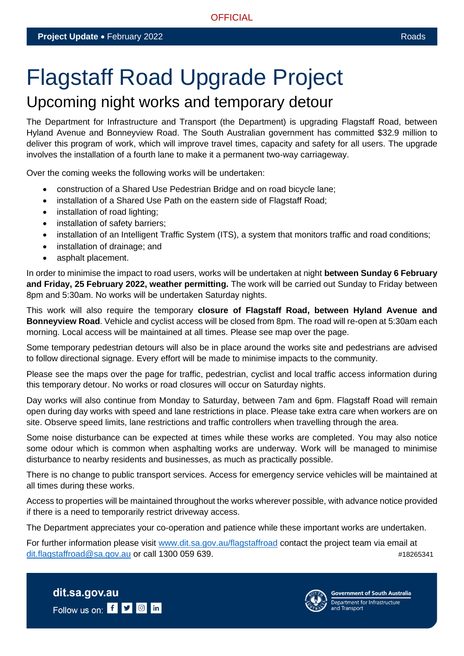# Flagstaff Road Upgrade Project

## Upcoming night works and temporary detour

The Department for Infrastructure and Transport (the Department) is upgrading Flagstaff Road, between Hyland Avenue and Bonneyview Road. The South Australian government has committed \$32.9 million to deliver this program of work, which will improve travel times, capacity and safety for all users. The upgrade involves the installation of a fourth lane to make it a permanent two-way carriageway.

Over the coming weeks the following works will be undertaken:

- construction of a Shared Use Pedestrian Bridge and on road bicycle lane;
- installation of a Shared Use Path on the eastern side of Flagstaff Road;
- installation of road lighting;
- installation of safety barriers;
- installation of an Intelligent Traffic System (ITS), a system that monitors traffic and road conditions;
- installation of drainage; and
- asphalt placement.

In order to minimise the impact to road users, works will be undertaken at night **between Sunday 6 February and Friday, 25 February 2022, weather permitting.** The work will be carried out Sunday to Friday between 8pm and 5:30am. No works will be undertaken Saturday nights.

This work will also require the temporary **closure of Flagstaff Road, between Hyland Avenue and Bonneyview Road**. Vehicle and cyclist access will be closed from 8pm. The road will re-open at 5:30am each morning. Local access will be maintained at all times. Please see map over the page.

Some temporary pedestrian detours will also be in place around the works site and pedestrians are advised to follow directional signage. Every effort will be made to minimise impacts to the community.

Please see the maps over the page for traffic, pedestrian, cyclist and local traffic access information during this temporary detour. No works or road closures will occur on Saturday nights.

Day works will also continue from Monday to Saturday, between 7am and 6pm. Flagstaff Road will remain open during day works with speed and lane restrictions in place. Please take extra care when workers are on site. Observe speed limits, lane restrictions and traffic controllers when travelling through the area.

Some noise disturbance can be expected at times while these works are completed. You may also notice some odour which is common when asphalting works are underway. Work will be managed to minimise disturbance to nearby residents and businesses, as much as practically possible.

There is no change to public transport services. Access for emergency service vehicles will be maintained at all times during these works.

Access to properties will be maintained throughout the works wherever possible, with advance notice provided if there is a need to temporarily restrict driveway access.

The Department appreciates your co-operation and patience while these important works are undertaken.

For further information please visit [www.dit.sa.gov.au/flagstaffroad](file:///C:/Users/Nicki%20Johnson/AppData/Local/Microsoft/Windows/INetCache/Content.Outlook/1PRZMHJH/www.dit.sa.gov.au/flagstaffroad) contact the project team via email at [dit.flagstaffroad@sa.gov.au](mailto:dit.flagstaffroad@sa.gov.au) or call 1300 059 639.  $\mu$ 18265341





**Government of South Australia** Department for Infrastructure<br>and Transport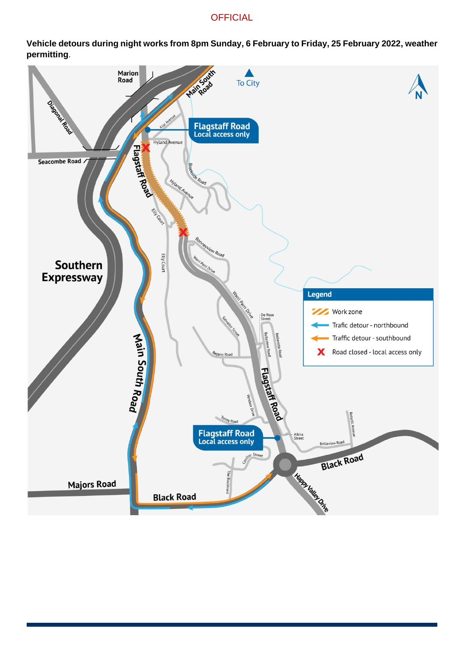### **OFFICIAL**

**Vehicle detours during night works from 8pm Sunday, 6 February to Friday, 25 February 2022, weather permitting**.

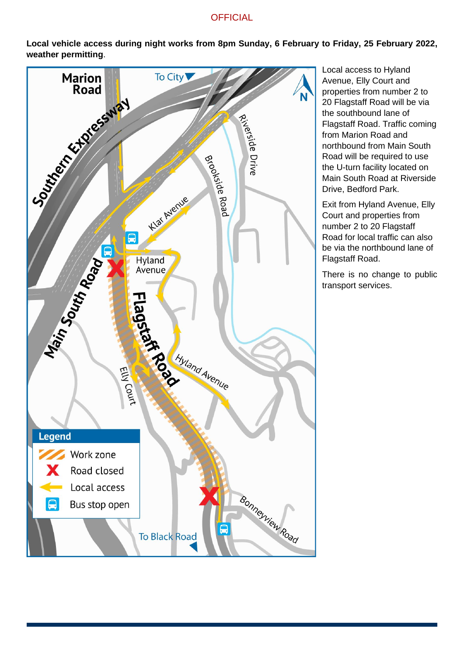#### **OFFICIAL**

**Local vehicle access during night works from 8pm Sunday, 6 February to Friday, 25 February 2022, weather permitting**.



Local access to Hyland Avenue, Elly Court and properties from number 2 to 20 Flagstaff Road will be via the southbound lane of Flagstaff Road. Traffic coming from Marion Road and northbound from Main South Road will be required to use the U-turn facility located on Main South Road at Riverside Drive, Bedford Park.

Exit from Hyland Avenue, Elly Court and properties from number 2 to 20 Flagstaff Road for local traffic can also be via the northbound lane of Flagstaff Road.

There is no change to public transport services.